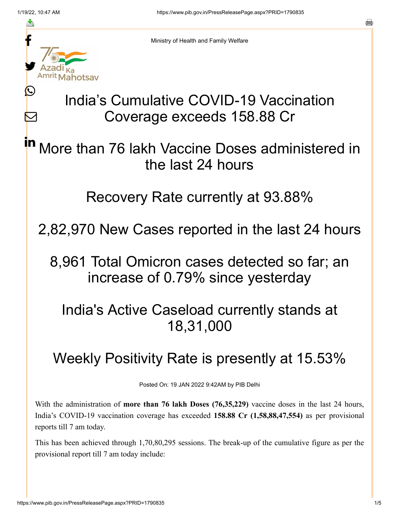Ŀ

 $\bm{\nabla}$ 

a



Ministry of Health and Family Welfare

## India's Cumulative COVID-19 Vaccination Coverage exceeds 158.88 Cr

More than 76 lakh Vaccine Doses administered in the last 24 hours in

Recovery Rate currently at 93.88%

2,82,970 New Cases reported in the last 24 hours

8,961 Total Omicron cases detected so far; an increase of 0.79% since yesterday

India's Active Caseload currently stands at 18,31,000

## Weekly Positivity Rate is presently at 15.53%

Posted On: 19 JAN 2022 9:42AM by PIB Delhi

With the administration of **more than 76 lakh Doses (76,35,229)** vaccine doses in the last 24 hours, India's COVID-19 vaccination coverage has exceeded **158.88 Cr (1,58,88,47,554)** as per provisional reports till 7 am today.

This has been achieved through 1,70,80,295 sessions. The break-up of the cumulative figure as per the provisional report till 7 am today include: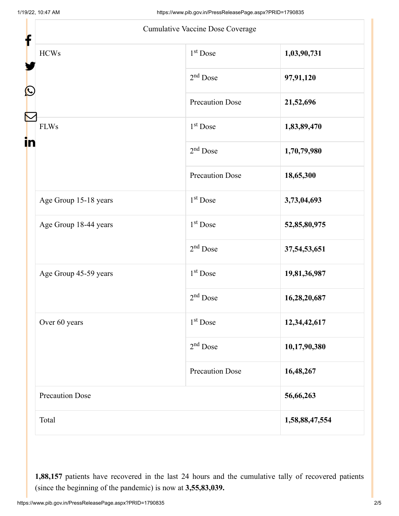| f                      | <b>Cumulative Vaccine Dose Coverage</b> |                |
|------------------------|-----------------------------------------|----------------|
| $\rm HCWs$             | 1 <sup>st</sup> Dose                    | 1,03,90,731    |
|                        | $2nd$ Dose                              | 97,91,120      |
| C                      | <b>Precaution Dose</b>                  | 21,52,696      |
| <b>FLWs</b><br>in      | 1 <sup>st</sup> Dose                    | 1,83,89,470    |
|                        | $2nd$ Dose                              | 1,70,79,980    |
|                        | Precaution Dose                         | 18,65,300      |
| Age Group 15-18 years  | 1 <sup>st</sup> Dose                    | 3,73,04,693    |
| Age Group 18-44 years  | 1 <sup>st</sup> Dose                    | 52,85,80,975   |
|                        | $2nd$ Dose                              | 37,54,53,651   |
| Age Group 45-59 years  | 1 <sup>st</sup> Dose                    | 19,81,36,987   |
|                        | $2nd$ Dose                              | 16,28,20,687   |
| Over 60 years          | 1 <sup>st</sup> Dose                    | 12,34,42,617   |
|                        | $2nd$ Dose                              | 10,17,90,380   |
|                        | <b>Precaution Dose</b>                  | 16,48,267      |
| <b>Precaution Dose</b> |                                         | 56,66,263      |
| Total                  |                                         | 1,58,88,47,554 |

**1,88,157** patients have recovered in the last 24 hours and the cumulative tally of recovered patients (since the beginning of the pandemic) is now at **3,55,83,039.**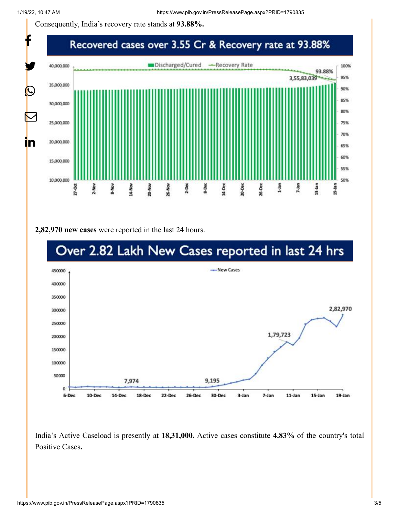Consequently, India's recovery rate stands at **93.88%.**



**2,82,970 new cases** were reported in the last 24 hours.



India's Active Caseload is presently at **18,31,000.** Active cases constitute **4.83%** of the country's total Positive Cases**.**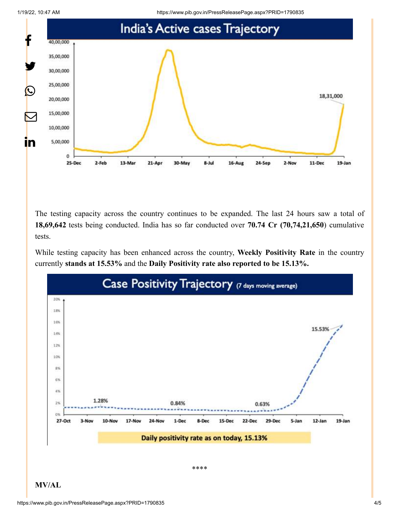



The testing capacity across the country continues to be expanded. The last 24 hours saw a total of **18,69,642** tests being conducted. India has so far conducted over **70.74 Cr (70,74,21,650**) cumulative tests.

While testing capacity has been enhanced across the country, **Weekly Positivity Rate** in the country currently **stands at 15.53%** and the **Daily Positivity rate also reported to be 15.13%.**